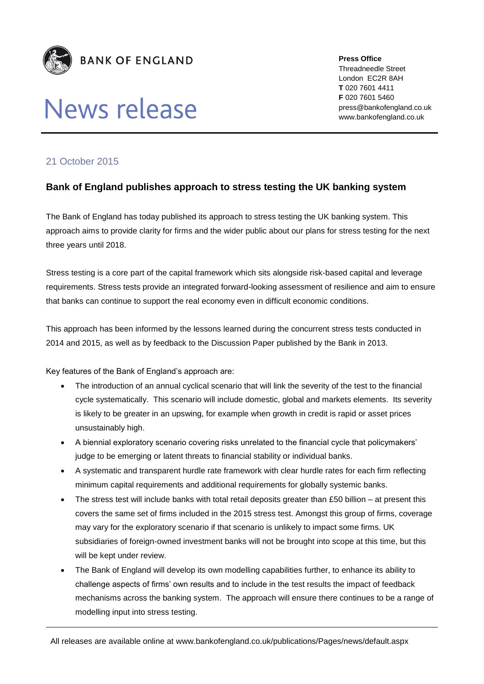

## **News release**

**Press Office** Threadneedle Street London EC2R 8AH **T** 020 7601 4411 **F** 020 7601 5460 press@bankofengland.co.uk www.bankofengland.co.uk

## 21 October 2015

## **Bank of England publishes approach to stress testing the UK banking system**

The Bank of England has today published its approach to stress testing the UK banking system. This approach aims to provide clarity for firms and the wider public about our plans for stress testing for the next three years until 2018.

Stress testing is a core part of the capital framework which sits alongside risk-based capital and leverage requirements. Stress tests provide an integrated forward-looking assessment of resilience and aim to ensure that banks can continue to support the real economy even in difficult economic conditions.

This approach has been informed by the lessons learned during the concurrent stress tests conducted in 2014 and 2015, as well as by feedback to the Discussion Paper published by the Bank in 2013.

Key features of the Bank of England's approach are:

- The introduction of an annual cyclical scenario that will link the severity of the test to the financial cycle systematically. This scenario will include domestic, global and markets elements. Its severity is likely to be greater in an upswing, for example when growth in credit is rapid or asset prices unsustainably high.
- A biennial exploratory scenario covering risks unrelated to the financial cycle that policymakers' judge to be emerging or latent threats to financial stability or individual banks.
- A systematic and transparent hurdle rate framework with clear hurdle rates for each firm reflecting minimum capital requirements and additional requirements for globally systemic banks.
- The stress test will include banks with total retail deposits greater than £50 billion at present this covers the same set of firms included in the 2015 stress test. Amongst this group of firms, coverage may vary for the exploratory scenario if that scenario is unlikely to impact some firms. UK subsidiaries of foreign-owned investment banks will not be brought into scope at this time, but this will be kept under review.
- The Bank of England will develop its own modelling capabilities further, to enhance its ability to challenge aspects of firms' own results and to include in the test results the impact of feedback mechanisms across the banking system. The approach will ensure there continues to be a range of modelling input into stress testing.